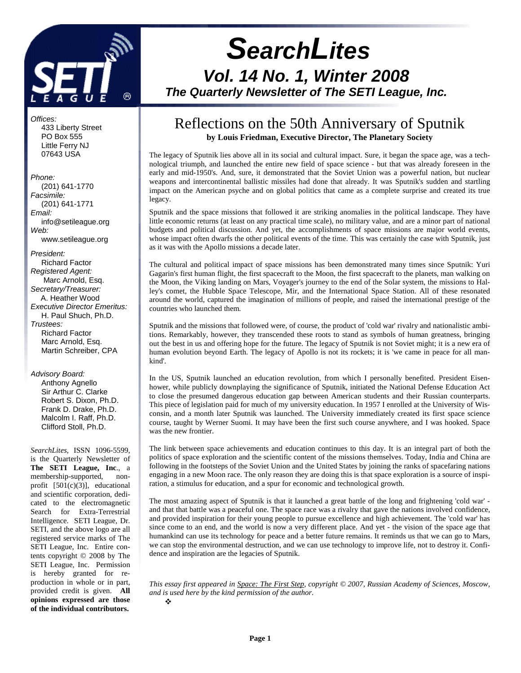

# **SearchLites Vol. 14 No. 1, Winter 2008 The Quarterly Newsletter of The SETI League, Inc.**

#### Offices:

 433 Liberty Street PO Box 555 Little Ferry NJ 07643 USA

#### Phone:

 (201) 641-1770 Facsimile: (201) 641-1771 Email: info@setileague.org Web: www.setileague.org

President: Richard Factor Registered Agent: Marc Arnold, Esq. Secretary/Treasurer: A. Heather Wood Executive Director Emeritus: H. Paul Shuch, Ph.D. Trustees: Richard Factor Marc Arnold, Esq. Martin Schreiber, CPA

#### Advisory Board:

 Anthony Agnello Sir Arthur C. Clarke Robert S. Dixon, Ph.D. Frank D. Drake, Ph.D. Malcolm I. Raff, Ph.D. Clifford Stoll, Ph.D.

*SearchLites*, ISSN 1096-5599, is the Quarterly Newsletter of **The SETI League, Inc**., a membership-supported, nonprofit [501(c)(3)], educational and scientific corporation, dedicated to the electromagnetic Search for Extra-Terrestrial Intelligence. SETI League, Dr. SETI, and the above logo are all registered service marks of The SETI League, Inc. Entire contents copyright © 2008 by The SETI League, Inc. Permission is hereby granted for reproduction in whole or in part, provided credit is given. **All opinions expressed are those of the individual contributors.** 

### Reflections on the 50th Anniversary of Sputnik **by Louis Friedman, Executive Director, The Planetary Society**

The legacy of Sputnik lies above all in its social and cultural impact. Sure, it began the space age, was a technological triumph, and launched the entire new field of space science - but that was already foreseen in the early and mid-1950's. And, sure, it demonstrated that the Soviet Union was a powerful nation, but nuclear weapons and intercontinental ballistic missiles had done that already. It was Sputnik's sudden and startling impact on the American psyche and on global politics that came as a complete surprise and created its true legacy.

Sputnik and the space missions that followed it are striking anomalies in the political landscape. They have little economic returns (at least on any practical time scale), no military value, and are a minor part of national budgets and political discussion. And yet, the accomplishments of space missions are major world events, whose impact often dwarfs the other political events of the time. This was certainly the case with Sputnik, just as it was with the Apollo missions a decade later.

The cultural and political impact of space missions has been demonstrated many times since Sputnik: Yuri Gagarin's first human flight, the first spacecraft to the Moon, the first spacecraft to the planets, man walking on the Moon, the Viking landing on Mars, Voyager's journey to the end of the Solar system, the missions to Halley's comet, the Hubble Space Telescope, Mir, and the International Space Station. All of these resonated around the world, captured the imagination of millions of people, and raised the international prestige of the countries who launched them.

Sputnik and the missions that followed were, of course, the product of 'cold war' rivalry and nationalistic ambitions. Remarkably, however, they transcended these roots to stand as symbols of human greatness, bringing out the best in us and offering hope for the future. The legacy of Sputnik is not Soviet might; it is a new era of human evolution beyond Earth. The legacy of Apollo is not its rockets; it is 'we came in peace for all mankind'.

In the US, Sputnik launched an education revolution, from which I personally benefited. President Eisenhower, while publicly downplaying the significance of Sputnik, initiated the National Defense Education Act to close the presumed dangerous education gap between American students and their Russian counterparts. This piece of legislation paid for much of my university education. In 1957 I enrolled at the University of Wisconsin, and a month later Sputnik was launched. The University immediately created its first space science course, taught by Werner Suomi. It may have been the first such course anywhere, and I was hooked. Space was the new frontier.

The link between space achievements and education continues to this day. It is an integral part of both the politics of space exploration and the scientific content of the missions themselves. Today, India and China are following in the footsteps of the Soviet Union and the United States by joining the ranks of spacefaring nations engaging in a new Moon race. The only reason they are doing this is that space exploration is a source of inspiration, a stimulus for education, and a spur for economic and technological growth.

The most amazing aspect of Sputnik is that it launched a great battle of the long and frightening 'cold war' and that that battle was a peaceful one. The space race was a rivalry that gave the nations involved confidence, and provided inspiration for their young people to pursue excellence and high achievement. The 'cold war' has since come to an end, and the world is now a very different place. And yet - the vision of the space age that humankind can use its technology for peace and a better future remains. It reminds us that we can go to Mars, we can stop the environmental destruction, and we can use technology to improve life, not to destroy it. Confidence and inspiration are the legacies of Sputnik.

*This essay first appeared in Space: The First Step, copyright © 2007, Russian Academy of Sciences, Moscow, and is used here by the kind permission of the author.*  $\mathbf{r}$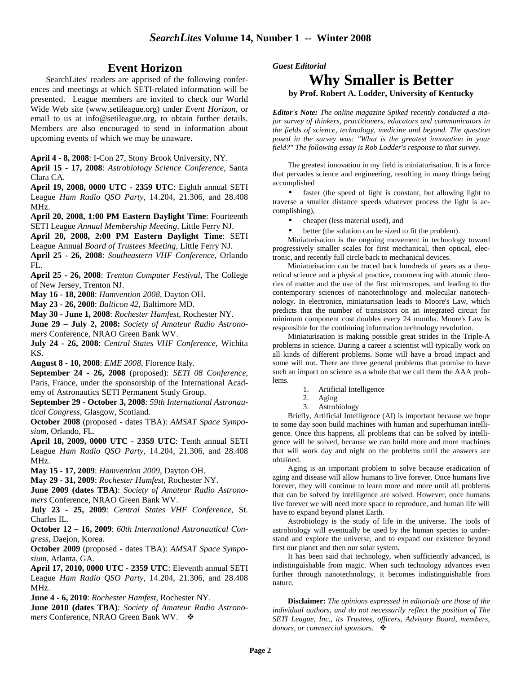#### **Event Horizon**

SearchLites' readers are apprised of the following conferences and meetings at which SETI-related information will be presented. League members are invited to check our World Wide Web site (www.setileague.org) under *Event Horizon*, or email to us at info@setileague.org, to obtain further details. Members are also encouraged to send in information about upcoming events of which we may be unaware.

**April 4 - 8, 2008**: I-Con 27, Stony Brook University, NY.

**April 15 - 17, 2008**: *Astrobiology Science Conference*, Santa Clara CA.

**April 19, 2008, 0000 UTC - 2359 UTC**: Eighth annual SETI League *Ham Radio QSO Party*, 14.204, 21.306, and 28.408 MHz.

**April 20, 2008, 1:00 PM Eastern Daylight Time**: Fourteenth SETI League *Annual Membership Meeting*, Little Ferry NJ.

**April 20, 2008, 2:00 PM Eastern Daylight Time**: SETI

League Annual *Board of Trustees Meeting*, Little Ferry NJ.

**April 25 - 26, 2008**: *Southeastern VHF Conference*, Orlando FL.

**April 25 - 26, 2008**: *Trenton Computer Festival*, The College of New Jersey, Trenton NJ.

**May 16 - 18, 2008**: *Hamvention 2008*, Dayton OH.

**May 23 - 26, 2008**: *Balticon 42*, Baltimore MD.

**May 30 - June 1, 2008**: *Rochester Hamfest*, Rochester NY.

**June 29 – July 2, 2008:** *Society of Amateur Radio Astronomers* Conference, NRAO Green Bank WV.

**July 24 - 26, 2008**: *Central States VHF Conference*, Wichita KS.

**August 8 - 10, 2008**: *EME 2008*, Florence Italy.

**September 24 - 26, 2008** (proposed): *SETI 08 Conference*, Paris, France, under the sponsorship of the International Academy of Astronautics SETI Permanent Study Group.

**September 29 - October 3, 2008**: *59th International Astronautical Congress*, Glasgow, Scotland.

**October 2008** (proposed - dates TBA): *AMSAT Space Symposium*, Orlando, FL.

**April 18, 2009, 0000 UTC - 2359 UTC**: Tenth annual SETI League *Ham Radio QSO Party*, 14.204, 21.306, and 28.408 MHz.

**May 15 - 17, 2009**: *Hamvention 2009*, Dayton OH.

**May 29 - 31, 2009**: *Rochester Hamfest*, Rochester NY.

**June 2009 (dates TBA)**: *Society of Amateur Radio Astronomers* Conference, NRAO Green Bank WV.

**July 23 - 25, 2009**: *Central States VHF Conference*, St. Charles IL.

**October 12 – 16, 2009**: *60th International Astronautical Congress*, Daejon, Korea.

**October 2009** (proposed - dates TBA): *AMSAT Space Symposium*, Atlanta, GA.

**April 17, 2010, 0000 UTC - 2359 UTC**: Eleventh annual SETI League *Ham Radio QSO Party*, 14.204, 21.306, and 28.408 MHz.

**June 4 - 6, 2010**: *Rochester Hamfest*, Rochester NY.

**June 2010 (dates TBA)**: *Society of Amateur Radio Astronomers* Conference, NRAO Green Bank WV.

*Guest Editorial*

### **Why Smaller is Better by Prof. Robert A. Lodder, University of Kentucky**

*Editor's Note: The online magazine Spiked recently conducted a major survey of thinkers, practitioners, educators and communicators in the fields of science, technology, medicine and beyond. The question posed in the survey was: "What is the greatest innovation in your field?" The following essay is Rob Lodder's response to that survey.* 

The greatest innovation in my field is miniaturisation. It is a force that pervades science and engineering, resulting in many things being accomplished

• faster (the speed of light is constant, but allowing light to traverse a smaller distance speeds whatever process the light is accomplishing),

- cheaper (less material used), and
- better (the solution can be sized to fit the problem).

Miniaturisation is the ongoing movement in technology toward progressively smaller scales for first mechanical, then optical, electronic, and recently full circle back to mechanical devices.

Miniaturisation can be traced back hundreds of years as a theoretical science and a physical practice, commencing with atomic theories of matter and the use of the first microscopes, and leading to the contemporary sciences of nanotechnology and molecular nanotechnology. In electronics, miniaturisation leads to Moore's Law, which predicts that the number of transistors on an integrated circuit for minimum component cost doubles every 24 months. Moore's Law is responsible for the continuing information technology revolution.

Miniaturisation is making possible great strides in the Triple-A problems in science. During a career a scientist will typically work on all kinds of different problems. Some will have a broad impact and some will not. There are three general problems that promise to have such an impact on science as a whole that we call them the AAA problems.

- 1. Artificial Intelligence
- 2. Aging
- 3. Astrobiology

Briefly, Artificial Intelligence (AI) is important because we hope to some day soon build machines with human and superhuman intelligence. Once this happens, all problems that can be solved by intelligence will be solved, because we can build more and more machines that will work day and night on the problems until the answers are obtained.

Aging is an important problem to solve because eradication of aging and disease will allow humans to live forever. Once humans live forever, they will continue to learn more and more until all problems that can be solved by intelligence are solved. However, once humans live forever we will need more space to reproduce, and human life will have to expand beyond planet Earth.

Astrobiology is the study of life in the universe. The tools of astrobiology will eventually be used by the human species to understand and explore the universe, and to expand our existence beyond first our planet and then our solar system.

It has been said that technology, when sufficiently advanced, is indistinguishable from magic. When such technology advances even further through nanotechnology, it becomes indistinguishable from nature.

**Disclaimer:** *The opinions expressed in editorials are those of the individual authors, and do not necessarily reflect the position of The SETI League, Inc., its Trustees, officers, Advisory Board, members, donors, or commercial sponsors.*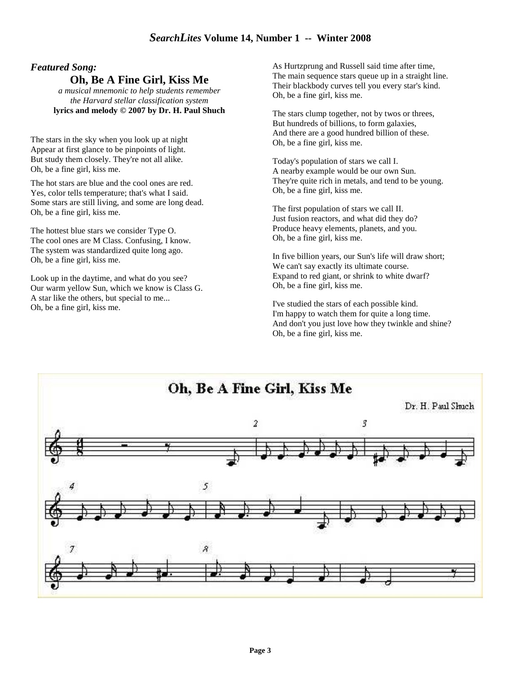#### *Featured Song:*

**Oh, Be A Fine Girl, Kiss Me**

*a musical mnemonic to help students remember the Harvard stellar classification system* **lyrics and melody © 2007 by Dr. H. Paul Shuch** 

The stars in the sky when you look up at night Appear at first glance to be pinpoints of light. But study them closely. They're not all alike. Oh, be a fine girl, kiss me.

The hot stars are blue and the cool ones are red. Yes, color tells temperature; that's what I said. Some stars are still living, and some are long dead. Oh, be a fine girl, kiss me.

The hottest blue stars we consider Type O. The cool ones are M Class. Confusing, I know. The system was standardized quite long ago. Oh, be a fine girl, kiss me.

Look up in the daytime, and what do you see? Our warm yellow Sun, which we know is Class G. A star like the others, but special to me... Oh, be a fine girl, kiss me.

As Hurtzprung and Russell said time after time, The main sequence stars queue up in a straight line. Their blackbody curves tell you every star's kind. Oh, be a fine girl, kiss me.

The stars clump together, not by twos or threes, But hundreds of billions, to form galaxies, And there are a good hundred billion of these. Oh, be a fine girl, kiss me.

Today's population of stars we call I. A nearby example would be our own Sun. They're quite rich in metals, and tend to be young. Oh, be a fine girl, kiss me.

The first population of stars we call II. Just fusion reactors, and what did they do? Produce heavy elements, planets, and you. Oh, be a fine girl, kiss me.

In five billion years, our Sun's life will draw short; We can't say exactly its ultimate course. Expand to red giant, or shrink to white dwarf? Oh, be a fine girl, kiss me.

I've studied the stars of each possible kind. I'm happy to watch them for quite a long time. And don't you just love how they twinkle and shine? Oh, be a fine girl, kiss me.

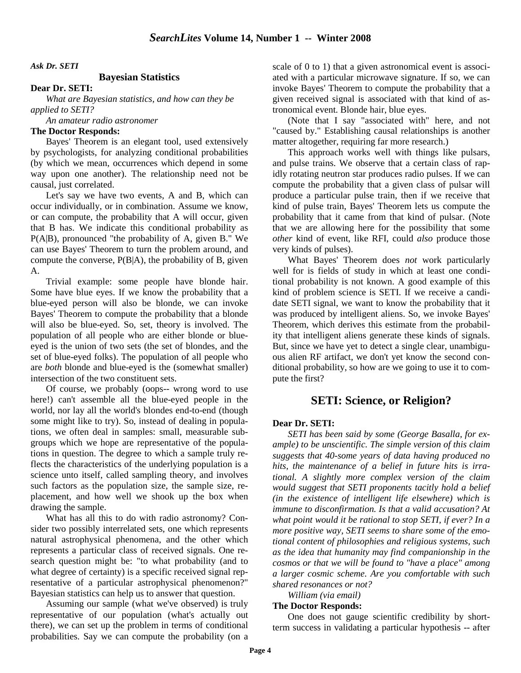*Ask Dr. SETI* 

#### **Bayesian Statistics**

**Dear Dr. SETI:**

 *What are Bayesian statistics, and how can they be applied to SETI?*

 *An amateur radio astronomer*

#### **The Doctor Responds:**

Bayes' Theorem is an elegant tool, used extensively by psychologists, for analyzing conditional probabilities (by which we mean, occurrences which depend in some way upon one another). The relationship need not be causal, just correlated.

Let's say we have two events, A and B, which can occur individually, or in combination. Assume we know, or can compute, the probability that A will occur, given that B has. We indicate this conditional probability as P(A|B), pronounced "the probability of A, given B." We can use Bayes' Theorem to turn the problem around, and compute the converse, P(B|A), the probability of B, given A.

Trivial example: some people have blonde hair. Some have blue eyes. If we know the probability that a blue-eyed person will also be blonde, we can invoke Bayes' Theorem to compute the probability that a blonde will also be blue-eyed. So, set, theory is involved. The population of all people who are either blonde or blueeyed is the union of two sets (the set of blondes, and the set of blue-eyed folks). The population of all people who are *both* blonde and blue-eyed is the (somewhat smaller) intersection of the two constituent sets.

Of course, we probably (oops-- wrong word to use here!) can't assemble all the blue-eyed people in the world, nor lay all the world's blondes end-to-end (though some might like to try). So, instead of dealing in populations, we often deal in samples: small, measurable subgroups which we hope are representative of the populations in question. The degree to which a sample truly reflects the characteristics of the underlying population is a science unto itself, called sampling theory, and involves such factors as the population size, the sample size, replacement, and how well we shook up the box when drawing the sample.

What has all this to do with radio astronomy? Consider two possibly interrelated sets, one which represents natural astrophysical phenomena, and the other which represents a particular class of received signals. One research question might be: "to what probability (and to what degree of certainty) is a specific received signal representative of a particular astrophysical phenomenon?" Bayesian statistics can help us to answer that question.

Assuming our sample (what we've observed) is truly representative of our population (what's actually out there), we can set up the problem in terms of conditional probabilities. Say we can compute the probability (on a scale of 0 to 1) that a given astronomical event is associated with a particular microwave signature. If so, we can invoke Bayes' Theorem to compute the probability that a given received signal is associated with that kind of astronomical event. Blonde hair, blue eyes.

(Note that I say "associated with" here, and not "caused by." Establishing causal relationships is another matter altogether, requiring far more research.)

This approach works well with things like pulsars, and pulse trains. We observe that a certain class of rapidly rotating neutron star produces radio pulses. If we can compute the probability that a given class of pulsar will produce a particular pulse train, then if we receive that kind of pulse train, Bayes' Theorem lets us compute the probability that it came from that kind of pulsar. (Note that we are allowing here for the possibility that some *other* kind of event, like RFI, could *also* produce those very kinds of pulses).

What Bayes' Theorem does *not* work particularly well for is fields of study in which at least one conditional probability is not known. A good example of this kind of problem science is SETI. If we receive a candidate SETI signal, we want to know the probability that it was produced by intelligent aliens. So, we invoke Bayes' Theorem, which derives this estimate from the probability that intelligent aliens generate these kinds of signals. But, since we have yet to detect a single clear, unambiguous alien RF artifact, we don't yet know the second conditional probability, so how are we going to use it to compute the first?

#### **SETI: Science, or Religion?**

#### **Dear Dr. SETI:**

*SETI has been said by some (George Basalla, for example) to be unscientific. The simple version of this claim suggests that 40-some years of data having produced no hits, the maintenance of a belief in future hits is irrational. A slightly more complex version of the claim would suggest that SETI proponents tacitly hold a belief (in the existence of intelligent life elsewhere) which is immune to disconfirmation. Is that a valid accusation? At what point would it be rational to stop SETI, if ever? In a more positive way, SETI seems to share some of the emotional content of philosophies and religious systems, such as the idea that humanity may find companionship in the cosmos or that we will be found to "have a place" among a larger cosmic scheme. Are you comfortable with such shared resonances or not?* 

*William (via email)*

#### **The Doctor Responds:**

 One does not gauge scientific credibility by shortterm success in validating a particular hypothesis -- after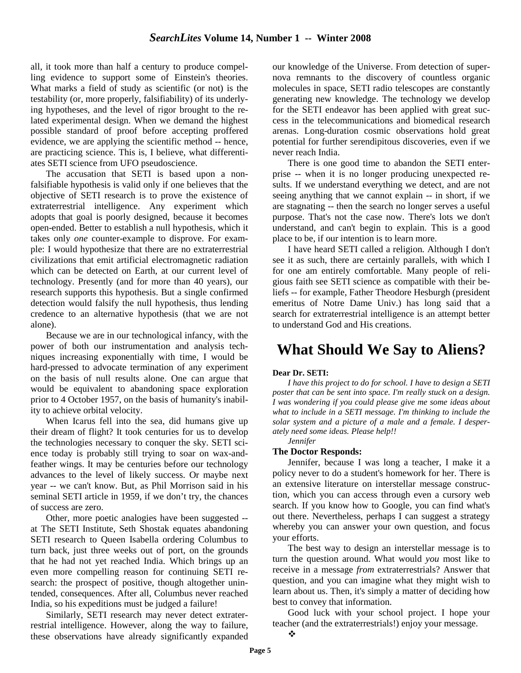all, it took more than half a century to produce compelling evidence to support some of Einstein's theories. What marks a field of study as scientific (or not) is the testability (or, more properly, falsifiability) of its underlying hypotheses, and the level of rigor brought to the related experimental design. When we demand the highest possible standard of proof before accepting proffered evidence, we are applying the scientific method -- hence, are practicing science. This is, I believe, what differentiates SETI science from UFO pseudoscience.

The accusation that SETI is based upon a nonfalsifiable hypothesis is valid only if one believes that the objective of SETI research is to prove the existence of extraterrestrial intelligence. Any experiment which adopts that goal is poorly designed, because it becomes open-ended. Better to establish a null hypothesis, which it takes only *one* counter-example to disprove. For example: I would hypothesize that there are no extraterrestrial civilizations that emit artificial electromagnetic radiation which can be detected on Earth, at our current level of technology. Presently (and for more than 40 years), our research supports this hypothesis. But a single confirmed detection would falsify the null hypothesis, thus lending credence to an alternative hypothesis (that we are not alone).

Because we are in our technological infancy, with the power of both our instrumentation and analysis techniques increasing exponentially with time, I would be hard-pressed to advocate termination of any experiment on the basis of null results alone. One can argue that would be equivalent to abandoning space exploration prior to 4 October 1957, on the basis of humanity's inability to achieve orbital velocity.

When Icarus fell into the sea, did humans give up their dream of flight? It took centuries for us to develop the technologies necessary to conquer the sky. SETI science today is probably still trying to soar on wax-andfeather wings. It may be centuries before our technology advances to the level of likely success. Or maybe next year -- we can't know. But, as Phil Morrison said in his seminal SETI article in 1959, if we don't try, the chances of success are zero.

Other, more poetic analogies have been suggested - at The SETI Institute, Seth Shostak equates abandoning SETI research to Queen Isabella ordering Columbus to turn back, just three weeks out of port, on the grounds that he had not yet reached India. Which brings up an even more compelling reason for continuing SETI research: the prospect of positive, though altogether unintended, consequences. After all, Columbus never reached India, so his expeditions must be judged a failure!

Similarly, SETI research may never detect extraterrestrial intelligence. However, along the way to failure, these observations have already significantly expanded our knowledge of the Universe. From detection of supernova remnants to the discovery of countless organic molecules in space, SETI radio telescopes are constantly generating new knowledge. The technology we develop for the SETI endeavor has been applied with great success in the telecommunications and biomedical research arenas. Long-duration cosmic observations hold great potential for further serendipitous discoveries, even if we never reach India.

There is one good time to abandon the SETI enterprise -- when it is no longer producing unexpected results. If we understand everything we detect, and are not seeing anything that we cannot explain -- in short, if we are stagnating -- then the search no longer serves a useful purpose. That's not the case now. There's lots we don't understand, and can't begin to explain. This is a good place to be, if our intention is to learn more.

I have heard SETI called a religion. Although I don't see it as such, there are certainly parallels, with which I for one am entirely comfortable. Many people of religious faith see SETI science as compatible with their beliefs -- for example, Father Theodore Hesburgh (president emeritus of Notre Dame Univ.) has long said that a search for extraterrestrial intelligence is an attempt better to understand God and His creations.

## **What Should We Say to Aliens?**

#### **Dear Dr. SETI:**

*I have this project to do for school. I have to design a SETI poster that can be sent into space. I'm really stuck on a design. I was wondering if you could please give me some ideas about what to include in a SETI message. I'm thinking to include the solar system and a picture of a male and a female. I desperately need some ideas. Please help!!* 

#### *Jennifer*

#### **The Doctor Responds:**

Jennifer, because I was long a teacher, I make it a policy never to do a student's homework for her. There is an extensive literature on interstellar message construction, which you can access through even a cursory web search. If you know how to Google, you can find what's out there. Nevertheless, perhaps I can suggest a strategy whereby you can answer your own question, and focus your efforts.

The best way to design an interstellar message is to turn the question around. What would *you* most like to receive in a message *from* extraterrestrials? Answer that question, and you can imagine what they might wish to learn about us. Then, it's simply a matter of deciding how best to convey that information.

Good luck with your school project. I hope your teacher (and the extraterrestrials!) enjoy your message.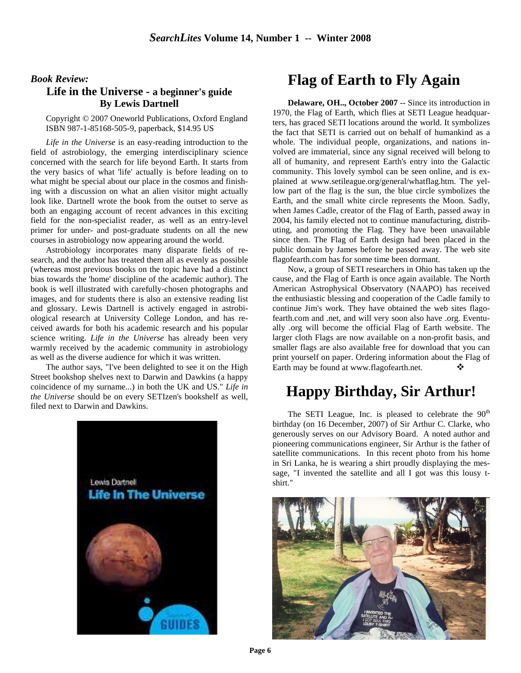#### *Book Review:*

#### **Life in the Universe - a beginner's guide By Lewis Dartnell**

Copyright © 2007 Oneworld Publications, Oxford England ISBN 987-1-85168-505-9, paperback, \$14.95 US

*Life in the Universe* is an easy-reading introduction to the field of astrobiology, the emerging interdisciplinary science concerned with the search for life beyond Earth. It starts from the very basics of what 'life' actually is before leading on to what might be special about our place in the cosmos and finishing with a discussion on what an alien visitor might actually look like. Dartnell wrote the book from the outset to serve as both an engaging account of recent advances in this exciting field for the non-specialist reader, as well as an entry-level primer for under- and post-graduate students on all the new courses in astrobiology now appearing around the world.

Astrobiology incorporates many disparate fields of research, and the author has treated them all as evenly as possible (whereas most previous books on the topic have had a distinct bias towards the 'home' discipline of the academic author). The book is well illustrated with carefully-chosen photographs and images, and for students there is also an extensive reading list and glossary. Lewis Dartnell is actively engaged in astrobiological research at University College London, and has received awards for both his academic research and his popular science writing. *Life in the Universe* has already been very warmly received by the academic community in astrobiology as well as the diverse audience for which it was written.

The author says, "I've been delighted to see it on the High Street bookshop shelves next to Darwin and Dawkins (a happy coincidence of my surname...) in both the UK and US." *Life in the Universe* should be on every SETIzen's bookshelf as well, filed next to Darwin and Dawkins.



## **Flag of Earth to Fly Again**

**Delaware, OH.., October 2007** -- Since its introduction in 1970, the Flag of Earth, which flies at SETI League headquarters, has graced SETI locations around the world. It symbolizes the fact that SETI is carried out on behalf of humankind as a whole. The individual people, organizations, and nations involved are immaterial, since any signal received will belong to all of humanity, and represent Earth's entry into the Galactic community. This lovely symbol can be seen online, and is explained at www.setileague.org/general/whatflag.htm. The yellow part of the flag is the sun, the blue circle symbolizes the Earth, and the small white circle represents the Moon. Sadly, when James Cadle, creator of the Flag of Earth, passed away in 2004, his family elected not to continue manufacturing, distributing, and promoting the Flag. They have been unavailable since then. The Flag of Earth design had been placed in the public domain by James before he passed away. The web site flagofearth.com has for some time been dormant.

Now, a group of SETI researchers in Ohio has taken up the cause, and the Flag of Earth is once again available. The North American Astrophysical Observatory (NAAPO) has received the enthusiastic blessing and cooperation of the Cadle family to continue Jim's work. They have obtained the web sites flagofearth.com and .net, and will very soon also have .org. Eventually .org will become the official Flag of Earth website. The larger cloth Flags are now available on a non-profit basis, and smaller flags are also available free for download that you can print yourself on paper. Ordering information about the Flag of Earth may be found at www.flagofearth.net.

## **Happy Birthday, Sir Arthur!**

The SETI League, Inc. is pleased to celebrate the  $90<sup>th</sup>$ birthday (on 16 December, 2007) of Sir Arthur C. Clarke, who generously serves on our Advisory Board. A noted author and pioneering communications engineer, Sir Arthur is the father of satellite communications. In this recent photo from his home in Sri Lanka, he is wearing a shirt proudly displaying the message, "I invented the satellite and all I got was this lousy tshirt."

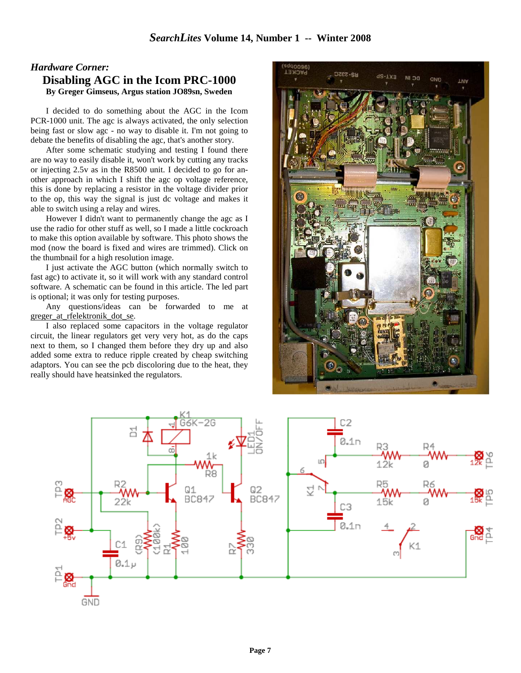#### *Hardware Corner:*  **Disabling AGC in the Icom PRC-1000 By Greger Gimseus, Argus station JO89sn, Sweden**

I decided to do something about the AGC in the Icom PCR-1000 unit. The agc is always activated, the only selection being fast or slow agc - no way to disable it. I'm not going to debate the benefits of disabling the agc, that's another story.

After some schematic studying and testing I found there are no way to easily disable it, won't work by cutting any tracks or injecting 2.5v as in the R8500 unit. I decided to go for another approach in which I shift the agc op voltage reference, this is done by replacing a resistor in the voltage divider prior to the op, this way the signal is just dc voltage and makes it able to switch using a relay and wires.

However I didn't want to permanently change the agc as I use the radio for other stuff as well, so I made a little cockroach to make this option available by software. This photo shows the mod (now the board is fixed and wires are trimmed). Click on the thumbnail for a high resolution image.

I just activate the AGC button (which normally switch to fast agc) to activate it, so it will work with any standard control software. A schematic can be found in this article. The led part is optional; it was only for testing purposes.

Any questions/ideas can be forwarded to me at greger at rfelektronik dot se.

I also replaced some capacitors in the voltage regulator circuit, the linear regulators get very very hot, as do the caps next to them, so I changed them before they dry up and also added some extra to reduce ripple created by cheap switching adaptors. You can see the pcb discoloring due to the heat, they really should have heatsinked the regulators.